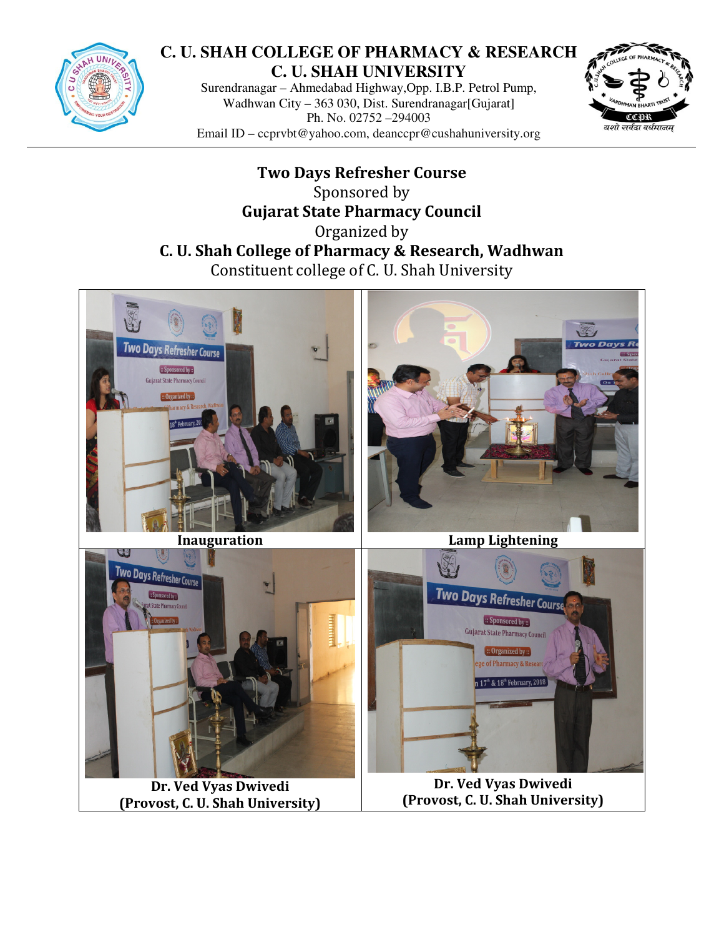

## **C. U. SHAH COLLEGE OF PHARMACY & RESEARCH C. U. SHAH UNIVERSITY**

Surendranagar – Ahmedabad Highway,Opp. I.B.P. Petrol Pump, Wadhwan City – 363 030, Dist. Surendranagar[Gujarat] Ph. No. 02752 –294003 Email ID – ccprvbt@yahoo.com, deanccpr@cushahuniversity.org



Two Days Refresher Course Sponsored by Gujarat State Pharmacy Council Organized by C. U. Shah College of Pharmacy & Research, Wadhwan Constituent college of C. U. Shah University



Dr. Ved Vyas Dwivedi (Provost, C. U. Shah University)

Dr. Ved Vyas Dwivedi (Provost, C. U. Shah University)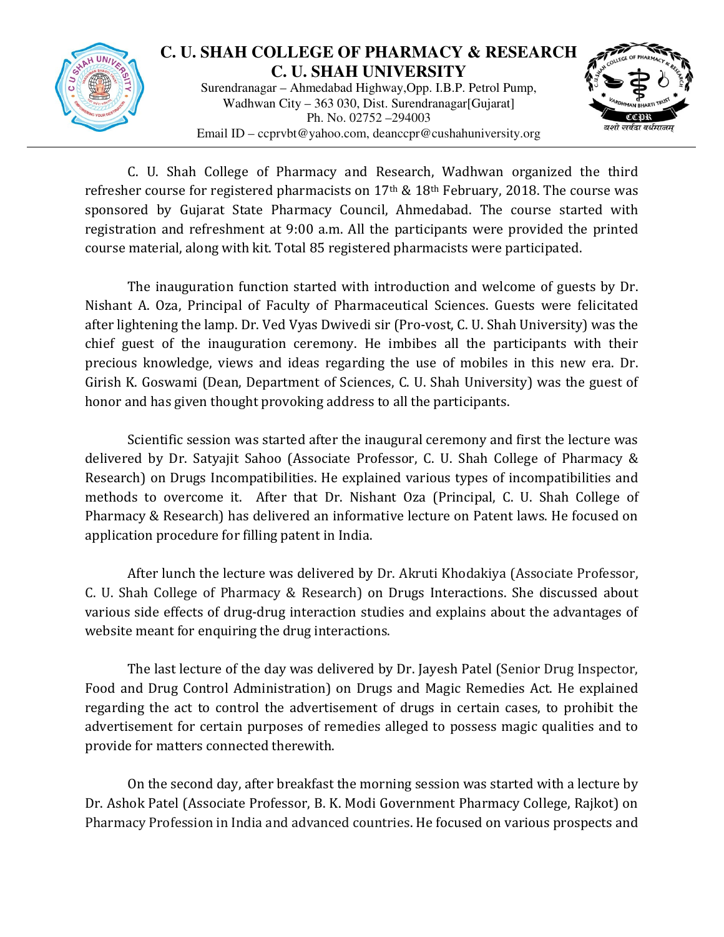

## **C. U. SHAH COLLEGE OF PHARMACY & RESEARCH C. U. SHAH UNIVERSITY**

Surendranagar – Ahmedabad Highway,Opp. I.B.P. Petrol Pump, Wadhwan City – 363 030, Dist. Surendranagar[Gujarat] Ph. No. 02752 –294003 Email ID – ccprvbt@yahoo.com, deanccpr@cushahuniversity.org



C. U. Shah College of Pharmacy and Research, Wadhwan organized the third refresher course for registered pharmacists on  $17<sup>th</sup>$  &  $18<sup>th</sup>$  February, 2018. The course was sponsored by Gujarat State Pharmacy Council, Ahmedabad. The course started with registration and refreshment at 9:00 a.m. All the participants were provided the printed course material, along with kit. Total 85 registered pharmacists were participated.

The inauguration function started with introduction and welcome of guests by Dr. Nishant A. Oza, Principal of Faculty of Pharmaceutical Sciences. Guests were felicitated after lightening the lamp. Dr. Ved Vyas Dwivedi sir (Pro-vost, C. U. Shah University) was the chief guest of the inauguration ceremony. He imbibes all the participants with their precious knowledge, views and ideas regarding the use of mobiles in this new era. Dr. Girish K. Goswami (Dean, Department of Sciences, C. U. Shah University) was the guest of honor and has given thought provoking address to all the participants.

Scientific session was started after the inaugural ceremony and first the lecture was delivered by Dr. Satyajit Sahoo (Associate Professor, C. U. Shah College of Pharmacy & Research) on Drugs Incompatibilities. He explained various types of incompatibilities and methods to overcome it. After that Dr. Nishant Oza (Principal, C. U. Shah College of Pharmacy & Research) has delivered an informative lecture on Patent laws. He focused on application procedure for filling patent in India.

After lunch the lecture was delivered by Dr. Akruti Khodakiya (Associate Professor, C. U. Shah College of Pharmacy & Research) on Drugs Interactions. She discussed about various side effects of drug-drug interaction studies and explains about the advantages of website meant for enquiring the drug interactions.

The last lecture of the day was delivered by Dr. Jayesh Patel (Senior Drug Inspector, Food and Drug Control Administration) on Drugs and Magic Remedies Act. He explained regarding the act to control the advertisement of drugs in certain cases, to prohibit the advertisement for certain purposes of remedies alleged to possess magic qualities and to provide for matters connected therewith.

On the second day, after breakfast the morning session was started with a lecture by Dr. Ashok Patel (Associate Professor, B. K. Modi Government Pharmacy College, Rajkot) on Pharmacy Profession in India and advanced countries. He focused on various prospects and